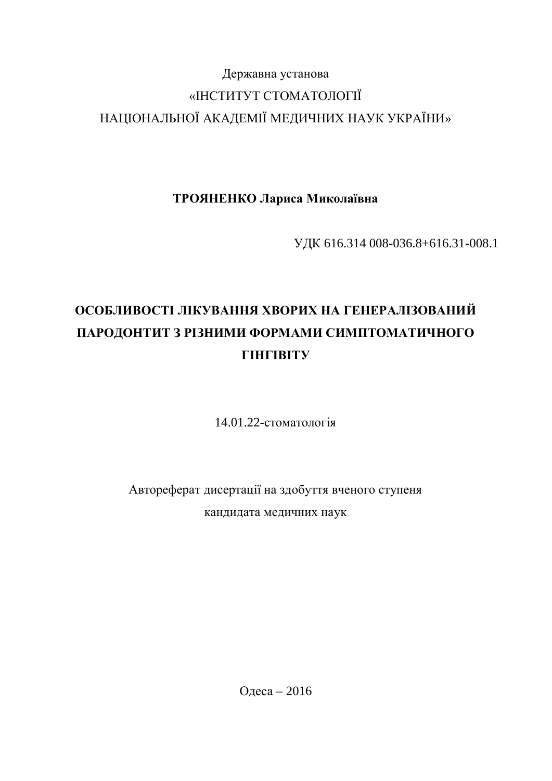## Державна установа «ІНСТИТУТ СТОМАТОЛОГІЇ НАЦІОНАЛЬНОЇ АКАДЕМІЇ МЕДИЧНИХ НАУК УКРАЇНИ»

ТРОЯНЕНКО Лариса Миколаївна

ɍȾɄ 616.314 008-036.8+616.31-008.1

# ОСОБЛИВОСТІ ЛІКУВАННЯ ХВОРИХ НА ГЕНЕРАЛІЗОВАНИЙ ПАРОДОНТИТ З РІЗНИМИ ФОРМАМИ СИМПТОМАТИЧНОГО **URIFIBITY**

14.01.22-стоматологія

Автореферат дисертації на здобуття вченого ступеня кандидата медичних наук

Одеса – 2016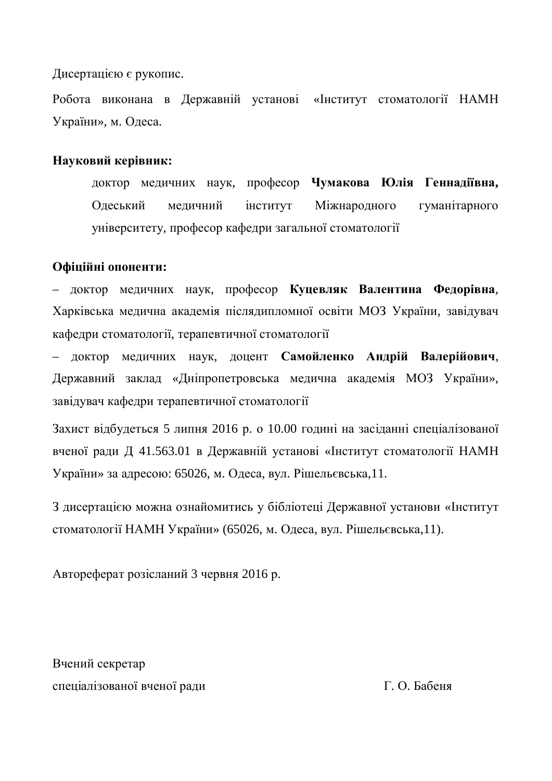Дисертацією є рукопис.

Робота виконана в Державній установі «Інститут стоматології НАМН України», м. Одеса.

#### **Науковий керівник:**

доктор медичних наук, професор Чумакова Юлія Геннадіївна. Одеський медичний інститут Міжнародного гуманітарного університету, професор кафедри загальної стоматології

### Офіційні опоненти:

– доктор медичних наук, професор Куцевляк Валентина Федорівна, Харківська медична академія післядипломної освіти МОЗ України, завідувач кафедри стоматології, терапевтичної стоматології

– доктор медичних наук, доцент Самойленко Андрій Валерійович, Державний заклад «Дніпропетровська медична академія МОЗ України», завідувач кафедри терапевтичної стоматології

Захист відбудеться 5 липня 2016 р. о 10.00 годині на засіданні спеціалізованої вченої ради Д 41.563.01 в Державній установі «Інститут стоматології НАМН України» за адресою: 65026, м. Одеса, вул. Рішельєвська,11.

З дисертацією можна ознайомитись у бібліотеці Державної установи «Інститут стоматології НАМН України» (65026, м. Одеса, вул. Рішельєвська,11).

Автореферат розісланий 3 червня 2016 р.

Вчений секретар спеціалізованої вченої ради П. О. Бабеня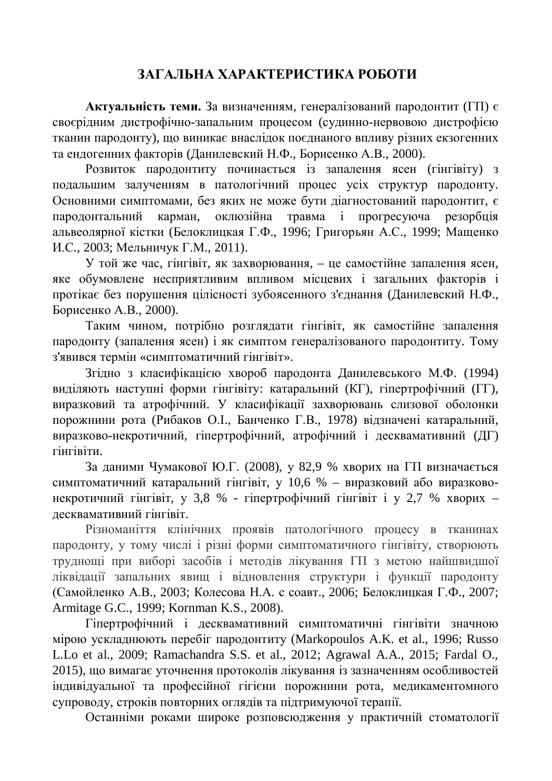### ЗАГАЛЬНА ХАРАКТЕРИСТИКА РОБОТИ

**Актуальність теми.** За визначенням, генералізований пародонтит (ГП) є своєрідним дистрофічно-запальним процесом (судинно-нервовою дистрофією тканин пародонту), що виникає внаслідок поєднаного впливу різних екзогенних та ендогенних факторів (Данилевский Н.Ф., Борисенко А.В., 2000).

Розвиток пародонтиту починається із запалення ясен (гінгівіту) з подальшим залученням в патологічний процес усіх структур пародонту. Основними симптомами, без яких не може бути діагностований пародонтит, є пародонтальний карман, оклюзійна травма і прогресуюча резорбція альвеолярної кістки (Белоклицкая Г.Ф., 1996; Григорьян А.С., 1999; Мащенко И.С., 2003; Мельничук Г.М., 2011).

У той же час, гінгівіт, як захворювання, - це самостійне запалення ясен, яке обумовлене несприятливим впливом місцевих і загальних факторів і протікає без порушення цілісності зубоясенного з'єднання (Данилевский Н.Ф., Борисенко А.В., 2000).

Таким чином, потрібно розглядати гінгівіт, як самостійне запалення пародонту (запалення ясен) і як симптом генералізованого пародонтиту. Тому з'явився термін «симптоматичний гінгівіт».

Згідно з класифікацією хвороб пародонта Данилевського М.Ф. (1994) виділяють наступні форми гінгівіту: катаральний (КГ), гіпертрофічний (ГГ), виразковий та атрофічний. У класифікації захворювань слизової оболонки порожнини рота (Рибаков О.І., Банченко Г.В., 1978) відзначені катаральний, виразково-некротичний, гіпертрофічний, атрофічний і десквамативний (ДГ) гінгівіти.

За даними Чумакової Ю.Г. (2008), у 82,9 % хворих на ГП визначається симптоматичний катаральний гінгівіт, у 10,6 % – виразковий або виразковонекротичний гінгівіт, у 3,8 % - гіпертрофічний гінгівіт і у 2,7 % хворих – десквамативний гінгівіт.

Різноманіття клінічних проявів патологічного процесу в тканинах пародонту, у тому числі і різні форми симптоматичного гінгівіту, створюють труднощі при виборі засобів і методів лікування ГП з метою найшвидшої ліквідації запальних явищ і відновлення структури і функції пародонту (Самойленко А.В., 2003; Колесова Н.А. с соавт., 2006; Белоклицкая Г.Ф., 2007; Armitage G.C., 1999; Kornman K.S., 2008).

Гіпертрофічний і десквамативний симптоматичні гінгівіти значною мірою ускладнюють перебіг пародонтиту (Markopoulos A.K. et al., 1996; Russo L.Lo et al., 2009; Ramachandra S.S. et al., 2012; Agrawal A.A., 2015; Fardal O., 2015), що вимагає уточнення протоколів лікування із зазначенням особливостей індивідуальної та професійної гігієни порожнини рота, медикаментомного супроводу, строків повторних оглядів та підтримуючої терапії.

Останніми роками широке розповсюдження у практичній стоматології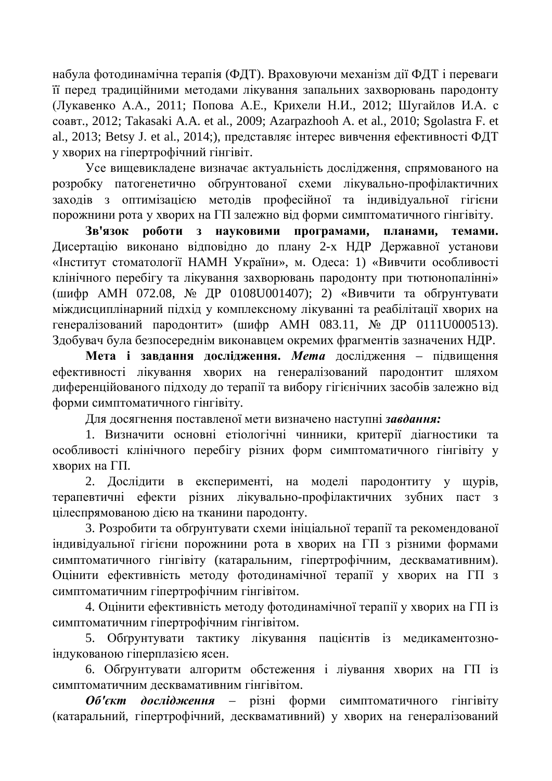набула фотодинамічна терапія (ФДТ). Враховуючи механізм дії ФДТ і переваги на перед традиційними методами лікування запальних захворювань пародонту (Лукавенко А.А., 2011; Попова А.Е., Крихели Н.И., 2012; Шугайлов И.А. с coabt., 2012; Takasaki A.A. et al., 2009; Azarpazhooh A. et al., 2010; Sgolastra F. et al., 2013; Betsy J. et al., 2014;), представляє інтерес вивчення ефективності ФДТ у хворих на гіпертрофічний гінгівіт.

Усе вищевикладене визначає актуальність дослідження, спрямованого на розробку патогенетично обґрунтованої схеми лікувально-профілактичних заходів з оптимізацією методів професійної та індивідуальної гігієни порожнини рота у хворих на ГП залежно від форми симптоматичного гінгівіту.

3в'язок  $\overline{DO6}$ **OТИ** 3 НАУКОВИМИ ПРОГРАМАМИ, ПЛАНАМИ, ТЕМАМИ, Дисертацію виконано відповідно до плану 2-х НДР Державної установи «Інститут стоматології НАМН України», м. Одеса: 1) «Вивчити особливості клінічного перебігу та лікування захворювань пародонту при тютюнопалінні»  $(\text{un} \phi \text{p} \text{AMH} \text{072.08}, \text{Ne} \text{IP} \text{0108U001407}); 2)$  «Вивчити та обгрунтувати міждисциплінарний підхід у комплексному лікуванні та реабілітації хворих на генералізований пародонтит» (шифр АМН 083.11, № ДР 0111U000513). Здобувач була безпосереднім виконавцем окремих фрагментів зазначених НДР.

Мета і завдання дослідження. Мета дослідження – підвищення ефективності лікування хворих на генералізований пародонтит шляхом диференційованого підходу до терапії та вибору гігієнічних засобів залежно від форми симптоматичного гінгівіту.

Для досягнення поставленої мети визначено наступні завдання:

1. Визначити основні етіологічні чинники, критерії ліагностики та особливості клінічного перебігу різних форм симптоматичного гінгівіту у хворих на ГП.

2. Дослідити в експерименті, на моделі пародонтиту у щурів, терапевтичні ефекти різних лікувально-профілактичних зубних паст з цілеспрямованою дією на тканини пародонту.

3. Розробити та обгрунтувати схеми ініціальної терапії та рекомендованої індивідуальної гігієни порожнини рота в хворих на ГП з різними формами симптоматичного гінгівіту (катаральним, гіпертрофічним, десквамативним). Оцінити ефективність методу фотодинамічної терапії у хворих на ГП з симптоматичним гіпертрофічним гінгівітом.

4. Оцінити ефективність методу фотодинамічної терапії у хворих на ГП із симптоматичним гіпертрофічним гінгівітом.

5. Обґрунтувати тактику лікування пацієнтів із медикаментозноіндукованою гіперплазією ясен.

6. Обгрунтувати алгоритм обстеження і ліування хворих на ГП із симптоматичним лесквамативним гінгівітом.

**Об'єкт дослідження** – різні форми симптоматичного гінгівіту (катаральний, гіпертрофічний, десквамативний) у хворих на генералізований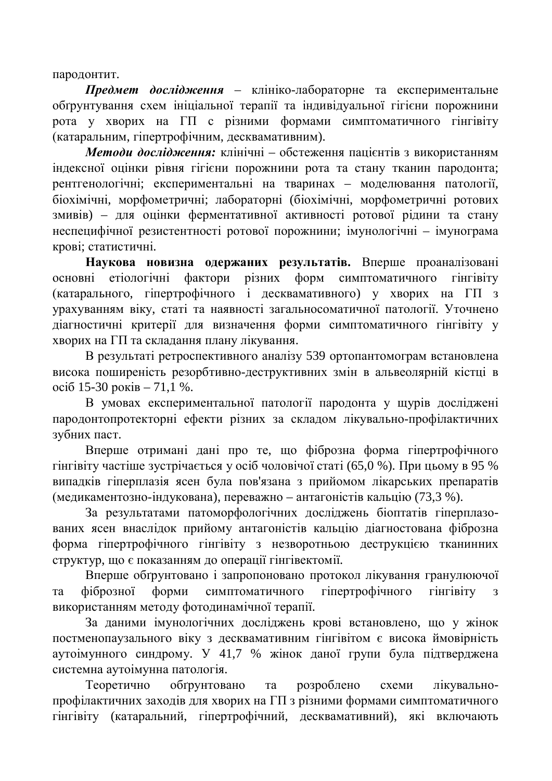пародонтит.

**Предмет дослідження** – клініко-лабораторне та експериментальне обґрунтування схем ініціальної терапії та індивідуальної гігієни порожнини  $p$ ота у хворих на  $\Gamma\Pi$  с різними формами симптоматичного гінгівіту (катаральним, гіпертрофічним, десквамативним).

**Методи дослідження:** клінічні – обстеження пацієнтів з використанням індексної оцінки рівня гігієни порожнини рота та стану тканин пародонта; рентгенологічні; експериментальні на тваринах – моделювання патології, біохімічні, морфометричні; лабораторні (біохімічні, морфометричні ротових змивів) – для оцінки ферментативної активності ротової рідини та стану неспецифічної резистентності ротової порожнини; імунологічні – імунограма крові; статистичні.

Наукова новизна одержаних результатів. Вперше проаналізовані основні етіологічні фактори різних форм симптоматичного гінгівіту (катарального, гіпертрофічного і десквамативного) у хворих на ГП з урахуванням віку, статі та наявності загальносоматичної патології. Уточнено діагностичні критерії для визначення форми симптоматичного гінгівіту у хворих на ГП та складання плану лікування.

В результаті ретроспективного аналізу 539 ортопантомограм встановлена висока поширеність резорбтивно-деструктивних змін в альвеолярній кістці в  $\cot 6$  15-30  $\text{p}_0\text{Ki}$  – 71,1 %.

В умовах експериментальної патології паролонта у шурів лослілжені пародонтопротекторні ефекти різних за складом лікувально-профілактичних зубних паст.

Вперше отримані дані про те, що фіброзна форма гіпертрофічного гінгівіту частіше зустрічається у осіб чоловічої статі (65,0 %). При цьому в 95 % випадків гіперплазія ясен була пов'язана з прийомом лікарських препаратів (медикаментозно-індукована), переважно – антагоністів кальцію (73,3 %).

За результатами патоморфологічних досліджень біоптатів гіперплазованих ясен внаслідок прийому антагоністів кальцію діагностована фіброзна форма гіпертрофічного гінгівіту з незворотньою деструкцією тканинних структур, що є показанням до операції гінгівектомії.

Вперше обтрунтовано і запропоновано протокол лікування гранулюючої та фіброзної форми симптоматичного гіпертрофічного гінгівіту з використанням методу фотодинамічної терапії.

За даними імунологічних досліджень крові встановлено, що у жінок постменопаузального віку з десквамативним гінгівітом є висока ймовірність аутоімунного синдрому. У 41,7 % жінок даної групи була підтверджена системна аутоімунна патологія.

Теоретично обґрунтовано та розроблено схеми лікувальнопрофілактичних заходів для хворих на ГП з різними формами симптоматичного гінгівіту (катаральний, гіпертрофічний, десквамативний), які включають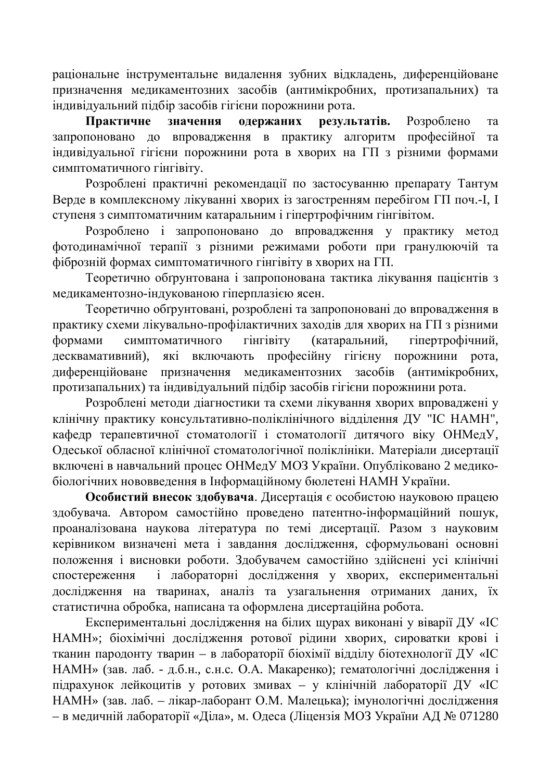раціональне інструментальне видалення зубних відкладень, диференційоване призначення медикаментозних засобів (антимікробних, протизапальних) та індивідуальний підбір засобів гігієни порожнини рота.

Практичне значення одержаних результатів. Розроблено та запропоновано до впровадження в практику алгоритм професійної та індивідуальної гігієни порожнини рота в хворих на ГП з різними формами симптоматичного гінгівіту.

Розроблені практичні рекомендації по застосуванню препарату Тантум Верде в комплексному лікуванні хворих із загостренням перебігом ГП поч.-I, I ступеня з симптоматичним катаральним і гіпертрофічним гінгівітом.

Розроблено і запропоновано до впровадження у практику метод фотодинамічної терапії з різними режимами роботи при гранулюючій та фіброзній формах симптоматичного гінгівіту в хворих на ГП.

Теоретично обгрунтована і запропонована тактика лікування пацієнтів з медикаментозно-індукованою гіперплазією ясен.

Теоретично обґрунтовані, розроблені та запропоновані до впровадження в практику схеми лікувально-профілактичних заходів для хворих на ГП з різними формами симптоматичного гінгівіту (катаральний, гіпертрофічний, десквамативний), які включають професійну гігієну порожнини рота, диференційоване призначення медикаментозних засобів (антимікробних, протизапальних) та індивідуальний підбір засобів гігієни порожнини рота.

Розроблені методи діагностики та схеми лікування хворих впроваджені у клінічну практику консультативно-поліклінічного відділення ДУ "ІС НАМН", кафедр терапевтичної стоматології і стоматології дитячого віку ОНМедУ, Одеської обласної клінічної стоматологічної поліклініки. Матеріали дисертації включені в навчальний процес ОНМедУ МОЗ України. Опубліковано 2 медикобіологічних нововведення в Інформаційному бюлетені НАМН України.

Особистий внесок здобувача. Дисертація є особистою науковою працею здобувача. Автором самостійно проведено патентно-інформаційний пошук, проаналізована наукова література по темі дисертації. Разом з науковим керівником визначені мета і завдання дослідження, сформульовані основні положення і висновки роботи. Здобувачем самостійно здійснені усі клінічні спостереження і лабораторні дослідження у хворих, експериментальні дослідження на тваринах, аналіз та узагальнення отриманих даних, їх статистична обробка, написана та оформлена дисертаційна робота.

Експериментальні дослідження на білих щурах виконані у віварії ДУ «ІС НАМН»; біохімічні дослідження ротової рідини хворих, сироватки крові і тканин пародонту тварин – в лабораторії біохімії відділу біотехнології ДУ «IC НАМН» (зав. лаб. - д.б.н., с.н.с. О.А. Макаренко); гематологічні дослідження і підрахунок лейкоцитів у ротових змивах – у клінічній лабораторії ДУ «ІС НАМН» (зав. лаб. – лікар-лаборант О.М. Малецька); імунологічні дослідження – в медичній лабораторії «Діла», м. Одеса (Ліцензія МОЗ України АД № 071280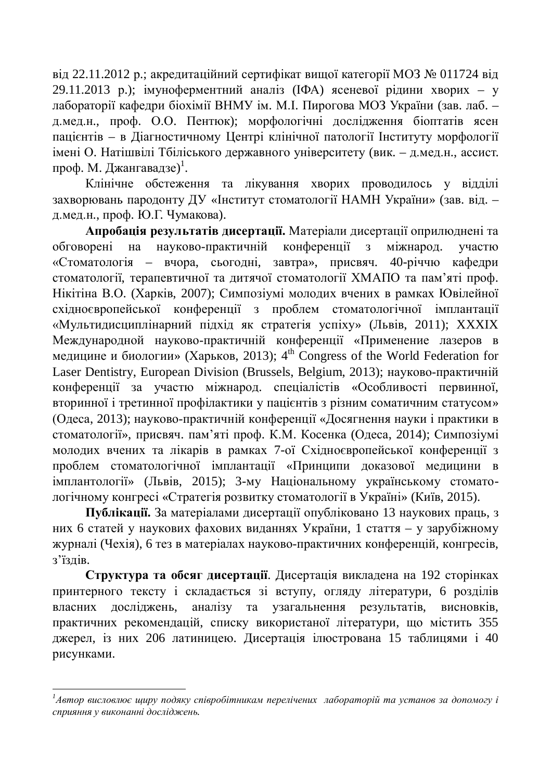від 22.11.2012 р.; акредитаційний сертифікат вищої категорії МОЗ № 011724 від 29.11.2013 р.); імуноферментний аналіз ( $I\Phi A$ ) ясеневої рідини хворих – у лабораторії кафедри біохімії ВНМУ ім. М.І. Пирогова МОЗ України (зав. лаб. – дмедн., проф. О.О. Пентюк); морфологічні дослідження біоптатів ясен пацієнтів – в Діагностичному Центрі клінічної патології Інституту морфології імені О. Натішвілі Тбіліського державного університету (вик. – д.мед.н., ассист. проф. М. Джангавадзе)<sup>1</sup>.

Клінічне обстеження та лікування хворих проводилось у відділі захворювань пародонту ДУ «Інститут стоматології НАМН України» (зав. від. – д.мед.н., проф. Ю.Г. Чумакова).

Апробація результатів дисертації. Матеріали дисертації оприлюднені та обговорені на науково-практичній конференції з міжнарод. участю «Стоматологія – вчора, сьогодні, завтра», присвяч. 40-річчю кафедри стоматології, терапевтичної та дитячої стоматології ХМАПО та пам'яті проф. Нікітіна В.О. (Харків, 2007); Симпозіумі молодих вчених в рамках Ювілейної східноєвропейської конференції з проблем стоматологічної імплантації «Мультидисциплінарний підхід як стратегія успіху» (Львів, 2011); XXXIX Международной науково-практичній конференції «Применение лазеров в Mедицине и биологии» (Харьков, 2013);  $4<sup>th</sup>$  Congress of the World Federation for Laser Dentistry, European Division (Brussels, Belgium, 2013); науково-практичній конференції за участю міжнарод. спеціалістів «Особливості первинної, вторинної і третинної профілактики у пацієнтів з різним соматичним статусом» (Одеса, 2013); науково-практичній конференції «Досягнення науки і практики в стоматології», присвяч. пам'яті проф. К.М. Косенка (Одеса, 2014); Симпозіумі молодих вчених та лікарів в рамках 7-ої Східноєвропейської конференції з проблем стоматологічної імплантації «Принципи доказової медицини в імплантології» (Львів, 2015); 3-му Національному українському стоматологічному конгресі «Стратегія розвитку стоматології в Україні» (Київ, 2015).

Публікації. За матеріалами дисертації опубліковано 13 наукових праць, з них 6 статей у наукових фахових виданнях України, 1 стаття – у зарубіжному журналі (Чехія), 6 тез в матеріалах науково-практичних конференцій, конгресів,  $3$ 'їзлів.

Структура та обсяг дисертації. Дисертація викладена на 192 сторінках принтерного тексту і складається зі вступу, огляду літератури, 6 розділів власних лослілжень, аналізу та узагальнення результатів, висновків, практичних рекомендацій, списку використаної літератури, що містить 355 джерел, із них 206 латиницею. Дисертація ілюстрована 15 таблицями і 40 рисунками.

<sup>&</sup>lt;sup>1</sup> Автор висловлює щиру подяку співробітникам перелічених лабораторій та установ за допомогу і сприяння у виконанні досліджень.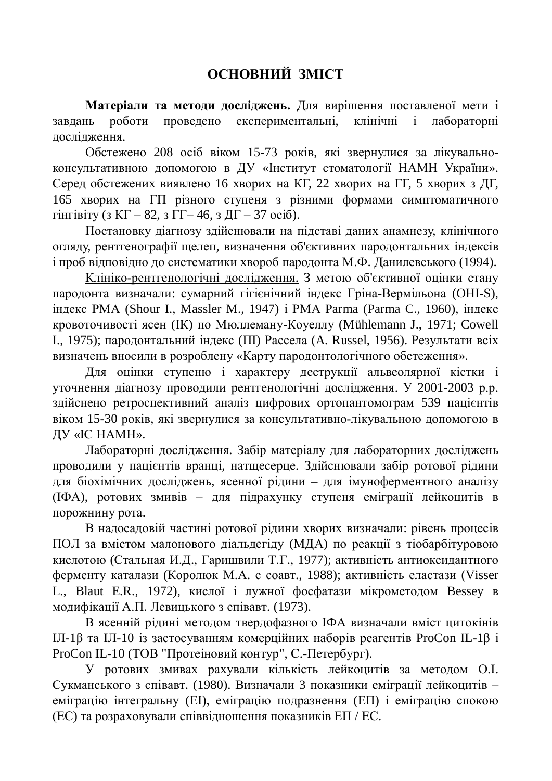### **ɈɋɇɈȼɇɂɃ ɁɆȱɋɌ**

Матеріали та методи досліджень. Для вирішення поставленої мети і завдань роботи проведено експериментальні, клінічні і лабораторні дослідження.

Обстежено 208 осіб віком 15-73 років, які звернулися за лікувальноконсультативною допомогою в ДУ «Інститут стоматології НАМН України». Серед обстежених виявлено 16 хворих на КГ, 22 хворих на ГГ, 5 хворих з ДГ, 165 хворих на ГП різного ступеня з різними формами симптоматичного гінгівіту (з КГ – 82, з ГГ – 46, з ДГ – 37  $\alpha$ сіб).

Постановку діагнозу здійснювали на підставі даних анамнезу, клінічного огляду, рентгенографії щелеп, визначення об'єктивних пародонтальних індексів і проб відповідно до систематики хвороб пародонта М.Ф. Данилевського (1994).

Клініко-рентгенологічні дослідження. З метою об'єктивної оцінки стану пародонта визначали: сумарний гігієнічний індекс Гріна-Вермільона (OHI-S), iндекс PMA (Shour I., Massler M., 1947) i PMA Parma (Parma C., 1960), iндекс кровоточивості ясен (IK) по Мюллеману-Коуеллу (Mühlemann J., 1971; Cowell I., 1975); пародонтальний індекс (ПІ) Рассела (A. Russel, 1956). Результати всіх визначень вносили в розроблену «Карту пародонтологічного обстеження».

Для оцінки ступеню і характеру деструкції альвеолярної кістки і уточнення діагнозу проводили рентгенологічні дослідження. У 2001-2003 p.p. здійснено ретроспективний аналіз цифрових ортопантомограм 539 пацієнтів віком 15-30 років, які звернулися за консультативно-лікувальною допомогою в ЛУ «IC HAMH».

Лабораторні дослідження. Забір матеріалу для лабораторних досліджень проводили у пацієнтів вранці, натщесерце. Здійснювали забір ротової рідини для біохімічних досліджень, ясенної рідини – для імуноферментного аналізу (IФА), ротових змивів – для підрахунку ступеня еміграції лейкоцитів в порожнину рота.

В надосадовій частині ротової рідини хворих визначали: рівень процесів ПОЛ за вмістом малонового діальдегіду (МДА) по реакції з тіобарбітуровою кислотою (Стальная И.Д., Гаришвили Т.Г., 1977); активність антиоксидантного ферменту каталази (Королюк М.А. с соавт., 1988); активність еластази (Visser L., Blaut E.R., 1972), кислої і лужної фосфатази мікрометодом Bessey в модифікації А.П. Левицького з співавт. (1973).

В ясенній рідині методом твердофазного ІФА визначали вміст цитокінів  $I$ Л-1 $\beta$  та IЛ-10 із застосуванням комерційних наборів реагентів ProCon IL-1 $\beta$  і ProCon IL-10 (ТОВ "Протеіновий контур", С.-Петербург).

У ротових змивах рахували кількість лейкоцитів за методом О.І. Сукманського з співавт. (1980). Визначали 3 показники еміграції лейкоцитів еміграцію інтегральну (EI), еміграцію подразнення (EП) і еміграцію спокою (ЕС) та розраховували співвідношення показників ЕП / ЕС.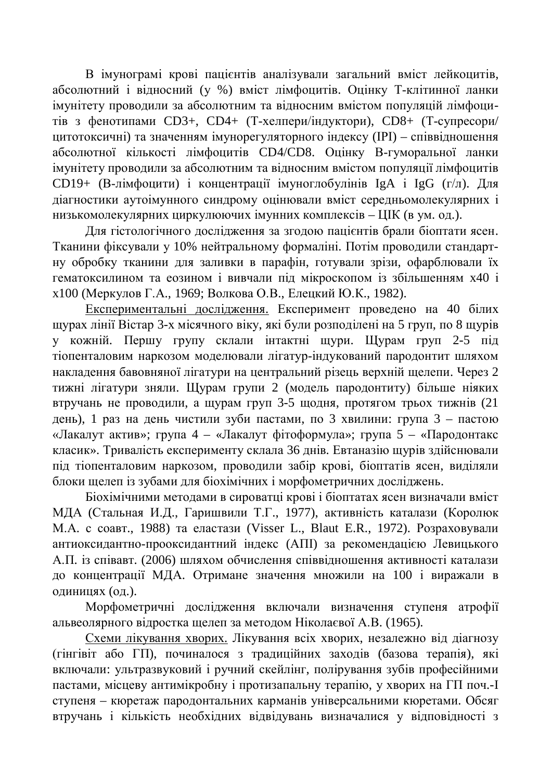В імунограмі крові пацієнтів аналізували загальний вміст лейкоцитів, абсолютний і відносний (у %) вміст лімфоцитів. Оцінку Т-клітинної ланки імунітету проводили за абсолютним та відносним вмістом популяцій лімфоцитів з фенотипами CD3+, CD4+ (Т-хелпери/індуктори), CD8+ (Т-супресори/ цитотоксичні) та значенням імунорегуляторного індексу (IPI) – співвідношення абсолютної кількості лімфоцитів CD4/CD8. Оцінку В-гуморальної ланки імунітету проводили за абсолютним та відносним вмістом популяції лімфоцитів CD19+ (В-лімфоцити) і концентрації імуноглобулінів IgA і IgG (г/л). Для діагностики аутоімунного синдрому оцінювали вміст середньомолекулярних і низькомолекулярних циркулюючих імунних комплексів – ЦІК (в ум. од.).

Для гістологічного дослідження за згодою пацієнтів брали біоптати ясен. Тканини фіксували у 10% нейтральному формаліні. Потім проводили стандартну обробку тканини для заливки в парафін, готували зрізи, офарблювали їх гематоксилином та еозином і вивчали під мікроскопом із збільшенням х40 і х100 (Меркулов Г.А., 1969; Волкова О.В., Елецкий Ю.К., 1982).

Експериментальні дослідження. Експеримент проведено на 40 білих щурах лінії Вістар 3-х місячного віку, які були розподілені на 5 груп, по 8 щурів у кожній. Першу групу склали інтактні щури. Щурам груп 2-5 під тіопенталовим наркозом моделювали лігатур-індукований пародонтит шляхом накладення бавовняної лігатури на центральний різець верхній щелепи. Через 2 тижні лігатури зняли. Щурам групи 2 (модель пародонтиту) більше ніяких втручань не проводили, а щурам груп 3-5 щодня, протягом трьох тижнів (21 день), 1 раз на день чистили зуби пастами, по 3 хвилини: група  $3$  – пастою «Лакалут актив»; група  $4 - \sqrt{x}$ акалут фітоформула»; група  $5 - \sqrt{x}$ Пародонтакс класик». Тривалість експерименту склала 36 днів. Евтаназію щурів здійснювали під тіопенталовим наркозом, проводили забір крові, біоптатів ясен, виділяли блоки щелеп із зубами для біохімічних і морфометричних досліджень.

Біохімічними методами в сироватці крові і біоптатах ясен визначали вміст МДА (Стальная И.Д., Гаришвили Т.Г., 1977), активність каталази (Королюк М.А. с соавт., 1988) та еластази (Visser L., Blaut E.R., 1972). Розраховували антиоксидантно-прооксидантний індекс (АПІ) за рекомендацією Левицького А.П. із співавт. (2006) шляхом обчислення співвідношення активності каталази до концентрації МДА. Отримане значення множили на 100 і виражали в одиницях (од.).

Морфометричні дослідження включали визначення ступеня атрофії альвеолярного відростка щелеп за методом Ніколаєвої А.В. (1965).

Схеми лікування хворих. Лікування всіх хворих, незалежно від діагнозу (гінгівіт або ГП), починалося з традиційних заходів (базова терапія), які включали: ультразвуковий і ручний скейлінг, полірування зубів професійними пастами, місцеву антимікробну і протизапальну терапію, у хворих на ГП поч.-І ступеня – кюретаж пародонтальних карманів універсальними кюретами. Обсяг втручань і кількість необхідних відвідувань визначалися у відповідності з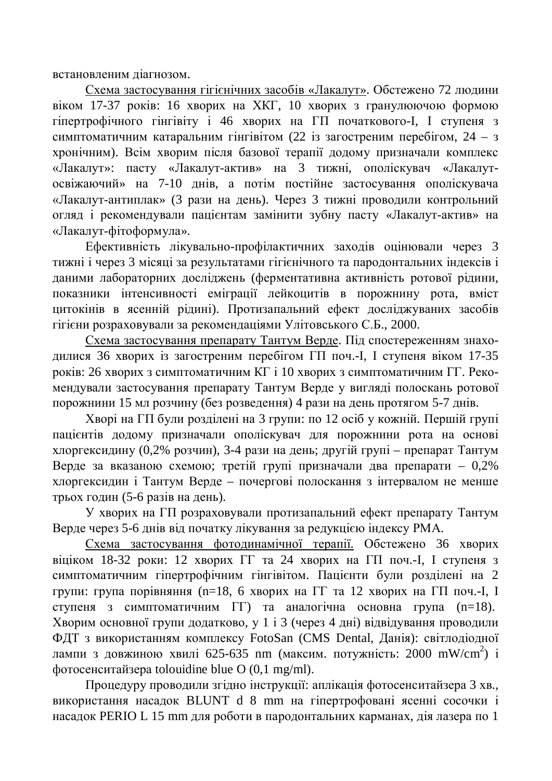встановленим діагнозом.

Схема застосування гігієнічних засобів «Лакалут». Обстежено 72 людини віком 17-37 років: 16 хворих на ХКГ, 10 хворих з гранулюючою формою гіпертрофічного гінгівіту і 46 хворих на ГП початкового-I, I ступеня з симптоматичним катаральним гінгівітом (22 із загостреним перебігом, 24 – з хронічним). Всім хворим після базової терапії додому призначали комплекс «Лакалут»: пасту «Лакалут-актив» на 3 тижні, ополіскувач «Лакалутосвіжаючий» на 7-10 днів, а потім постійне застосування ополіскувача «Лакалут-антиплак» (3 рази на день). Через 3 тижні проводили контрольний огляд і рекомендували пацієнтам замінити зубну пасту «Лакалут-актив» на «Лакалут-фітоформула».

Ефективність лікувально-профілактичних заходів оцінювали через 3 тижні і через 3 місяці за результатами гігієнічного та пародонтальних індексів і даними лабораторних досліджень (ферментативна активність ротової рідини, показники інтенсивності еміграції лейкоцитів в порожнину рота, вміст цитокінів в ясенній рідині). Протизапальний ефект досліджуваних засобів гігієни розраховували за рекомендаціями Улітовського С.Б., 2000.

Схема застосування препарату Тантум Верде. Під спостереженням знаходилися 36 хворих із загостреним перебігом ГП поч.-І, І ступеня віком 17-35 років: 26 хворих з симптоматичним КГ і 10 хворих з симптоматичним ГГ. Рекомендували застосування препарату Тантум Верде у вигляді полоскань ротової порожнини 15 мл розчину (без розведення) 4 рази на день протягом 5-7 днів.

Хворі на ГП були розділені на 3 групи: по 12 осіб у кожній. Першій групі пацієнтів додому призначали ополіскувач для порожнини рота на основі хлоргексидину (0,2% розчин), 3-4 рази на день; другій групі – препарат Тантум Верде за вказаною схемою; третій групі призначали два препарати - 0,2% хлоргексидин і Тантум Верде – почергові полоскання з інтервалом не менше трьох годин (5-6 разів на день).

У хворих на ГП розраховували протизапальний ефект препарату Тантум Верде через 5-6 днів від початку лікування за редукцією індексу РМА.

Схема застосування фотодинамічної терапії. Обстежено 36 хворих віціком 18-32 роки: 12 хворих  $\Gamma\Gamma$  та 24 хворих на  $\Gamma\Pi$  поч.-I, I ступеня з симптоматичним гіпертрофічним гінгівітом. Пацієнти були розділені на 2 групи: група порівняння (n=18, 6 хворих на  $\Gamma\Gamma$  та 12 хворих на  $\Gamma\Pi$  поч.-I, I ступеня з симптоматичним  $\Gamma\Gamma$ ) та аналогічна основна група (n=18). Хворим основної групи додатково, у 1 і 3 (через 4 дні) відвідування проводили ФДТ з використанням комплексу FotoSan (CMS Dental, Данія): світлодіодної лампи з довжиною хвилі 625-635 nm (максим. потужність: 2000 mW/cm<sup>2</sup>) і  $\phi$ отосенситайзера tolouidine blue O (0,1 mg/ml).

Процедуру проводили згідно інструкції: аплікація фотосенситайзера 3 хв., використання насадок BLUNT d 8 mm на гіпертрофовані ясенні сосочки і насадок PERIO L 15 mm для роботи в пародонтальних карманах, дія лазера по 1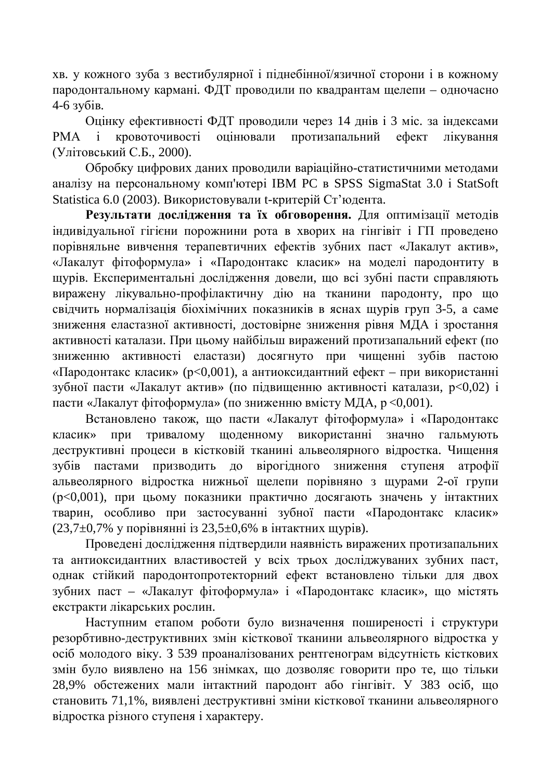хв. у кожного зуба з вестибулярної і піднебінної/язичної сторони і в кожному пародонтальному кармані. ФДТ проводили по квадрантам щелепи – одночасно 4-6 зубів.

Оцінку ефективності ФДТ проводили через 14 днів і 3 міс. за індексами РМА і кровоточивості оцінювали протизапальний ефект лікування (Улітовський С.Б., 2000).

Обробку цифрових даних проводили варіаційно-статистичними методами аналізу на персональному комп'ютері IBM PC в SPSS SigmaStat 3.0 і StatSoft Statistica 6.0 (2003). Використовували t-критерій Ст'юдента.

Результати дослідження та їх обговорення. Для оптимізації методів індивідуальної гігієни порожнини рота в хворих на гінгівіт і ГП проведено порівняльне вивчення терапевтичних ефектів зубних паст «Лакалут актив», «Лакалут фітоформула» і «Пародонтакс класик» на моделі пародонтиту в щурів. Експериментальні дослідження довели, що всі зубні пасти справляють виражену лікувально-профілактичну дію на тканини пародонту, про що свідчить нормалізація біохімічних показників в яснах щурів груп 3-5, а саме зниження еластазної активності, достовірне зниження рівня МДА і зростання активності каталази. При цьому найбільш виражений протизапальний ефект (по зниженню активності еластази) досягнуто при чищенні зубів пастою «Пародонтакс класик» (p<0,001), а антиоксидантний ефект – при використанні зубної пасти «Лакалут актив» (по підвищенню активності каталази, p<0,02) і пасти «Лакалут фітоформула» (по зниженню вмісту МДА,  $p < 0.001$ ).

Встановлено також, що пасти «Лакалут фітоформула» і «Пародонтакс класик» при тривалому щоденному використанні значно гальмують деструктивні процеси в кістковій тканині альвеолярного відростка. Чищення зубів пастами призводить до вірогідного зниження ступеня атрофії альвеолярного відростка нижньої щелепи порівняно з щурами 2-ої групи (p<0,001), при цьому показники практично досягають значень у інтактних тварин, особливо при застосуванні зубної пасти «Пародонтакс класик» (23,7 $\pm$ 0,7% у порівнянні із 23,5 $\pm$ 0,6% в інтактних щурів).

Проведені дослідження підтвердили наявність виражених протизапальних та антиоксидантних властивостей у всіх трьох досліджуваних зубних паст, однак стійкий пародонтопротекторний ефект встановлено тільки для двох зубних паст – «Лакалут фітоформула» і «Пародонтакс класик», що містять екстракти лікарських рослин.

Наступним етапом роботи було визначення поширеності і структури резорбтивно-деструктивних змін кісткової тканини альвеолярного відростка у осіб молодого віку. З 539 проаналізованих рентгенограм відсутність кісткових змін було виявлено на 156 знімках, що дозволяє говорити про те, що тільки 28,9% обстежених мали інтактний пародонт або гінгівіт. У 383 осіб, що становить 71,1%, виявлені деструктивні зміни кісткової тканини альвеолярного відростка різного ступеня і характеру.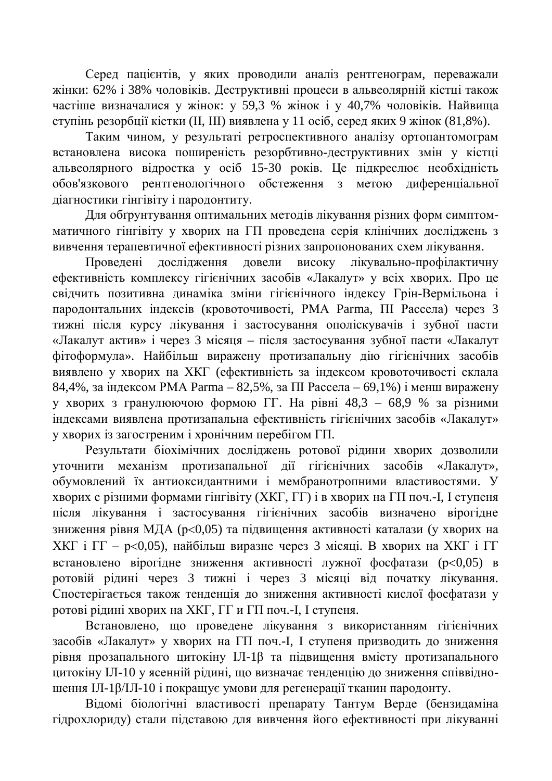Серед пацієнтів, у яких проводили аналіз рентгенограм, переважали жінки: 62% і 38% чоловіків. Деструктивні процеси в альвеолярній кістці також частіше визначалися у жінок: у 59,3 % жінок і у 40,7% чоловіків. Найвища ступінь резорбції кістки (II, III) виявлена у 11 осіб, серед яких 9 жінок (81,8%).

Таким чином, у результаті ретроспективного аналізу ортопантомограм встановлена висока поширеність резорбтивно-деструктивних змін у кістці альвеолярного відростка у осіб 15-30 років. Це підкреслює необхідність обов'язкового рентгенологічного обстеження з метою диференціальної діагностики гінгівіту і пародонтиту.

Для обґрунтування оптимальних методів лікування різних форм симптомматичного гінгівіту у хворих на ГП проведена серія клінічних досліджень з вивчення терапевтичної ефективності різних запропонованих схем лікування.

Проведені дослідження довели високу лікувально-профілактичну ефективність комплексу гігієнічних засобів «Лакалут» у всіх хворих. Про це свідчить позитивна динаміка зміни гігієнічного індексу Грін-Вермільона і пародонтальних індексів (кровоточивості, РМА Рагта, ПІ Рассела) через 3 тижні після курсу лікування і застосування ополіскувачів і зубної пасти «Лакалут актив» і через 3 місяця – після застосування зубної пасти «Лакалут фітоформула». Найбільш виражену протизапальну дію гігієнічних засобів виявлено у хворих на ХКГ (ефективність за індексом кровоточивості склала 84,4%, за індексом РМА Parma – 82,5%, за ПІ Рассела – 69,1%) і менш виражену у хворих з гранулюючою формою  $\Gamma\Gamma$ . На рівні 48,3 – 68,9 % за різними індексами виявлена протизапальна ефективність гігієнічних засобів «Лакалут» у хворих із загостреним і хронічним перебігом ГП.

Результати біохімічних досліджень ротової рідини хворих дозволили уточнити механізм протизапальної дії гігієнічних засобів «Лакалут», обумовлений їх антиоксидантними і мембранотропними властивостями. У хворих с різними формами гінгівіту (ХКГ, ГГ) і в хворих на ГП поч.-І, І ступеня після лікування і застосування гігієнічних засобів визначено вірогідне зниження рівня МДА (p<0,05) та підвищення активності каталази (у хворих на XKГ і  $\Gamma$  – p<0,05), найбільш виразне через 3 місяці. В хворих на ХКГ і  $\Gamma\Gamma$ встановлено вірогідне зниження активності лужної фосфатази ( $p<0.05$ ) в ротовій рідині через 3 тижні і через 3 місяці від початку лікування. Спостерігається також тенденція до зниження активності кислої фосфатази у ротові рідині хворих на ХКГ, ГГ и ГП поч.-І, І ступеня.

Встановлено, що проведене лікування з використанням гігієнічних засобів «Лакалут» у хворих на ГП поч.-I, I ступеня призводить до зниження рівня прозапального цитокіну ІЛ-1β та підвищення вмісту протизапального цитокіну ІЛ-10 у ясенній рідині, що визначає тенденцію до зниження співвідношення IJI-1 $\beta$ /IJI-10 і покращує умови для регенерації тканин пародонту.

Відомі біологічні властивості препарату Тантум Верде (бензидаміна гідрохлориду) стали підставою для вивчення його ефективності при лікуванні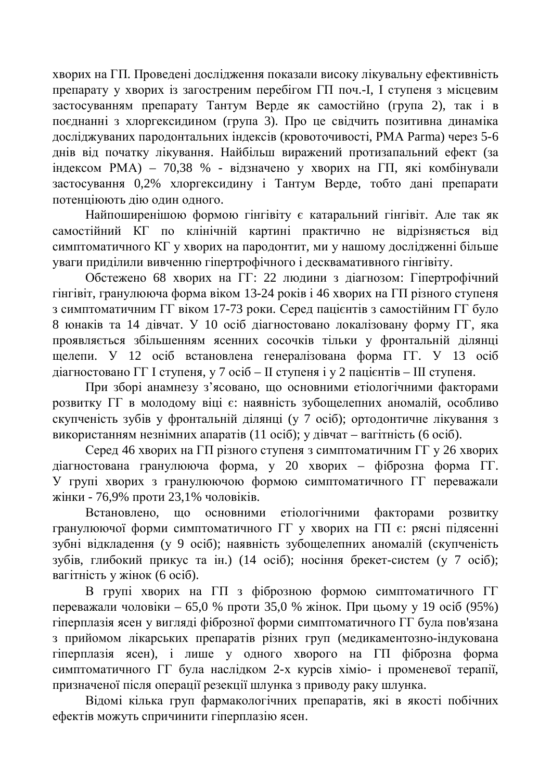хворих на ГП. Проведені дослідження показали високу лікувальну ефективність препарату у хворих із загостреним перебігом ГП поч.-I, I ступеня з місцевим застосуванням препарату Тантум Верде як самостійно (група 2), так і в поєднанні з хлоргексидином (група 3). Про це свідчить позитивна динаміка досліджуваних пародонтальних індексів (кровоточивості, РМА Parma) через 5-6 днів від початку лікування. Найбільш виражений протизапальний ефект (за індексом РМА) – 70,38 % - відзначено у хворих на ГП, які комбінували застосування 0,2% хлоргексидину і Тантум Верде, тобто дані препарати потенціюють дію один одного.

Найпоширенішою формою гінгівіту є катаральний гінгівіт. Але так як самостійний КГ по клінічній картині практично не відрізняється від симптоматичного КГ у хворих на пародонтит, ми у нашому дослідженні більше уваги приділили вивченню гіпертрофічного і десквамативного гінгівіту.

Обстежено 68 хворих на ГГ: 22 людини з діагнозом: Гіпертрофічний гінгівіт, гранулююча форма віком 13-24 років і 46 хворих на ГП різного ступеня з симптоматичним ГГ віком 17-73 роки. Серед пацієнтів з самостійним ГГ було 8 юнаків та 14 дівчат. У 10 осіб діагностовано локалізовану форму ГГ, яка проявляється збільшенням ясенних сосочків тільки у фронтальній ділянці щелепи. У 12 осіб встановлена генералізована форма ГГ. У 13 осіб діагностовано ГГ I ступеня, у 7 осіб – II ступеня і у 2 пацієнтів – III ступеня.

При зборі анамнезу з'ясовано, що основними етіологічними факторами розвитку ГГ в молодому віці є: наявність зубощелепних аномалій, особливо скупченість зубів у фронтальній ділянці (у 7 осіб); ортодонтичне лікування з використанням незнімних апаратів (11  $\sigma$ сіб); у дівчат – вагітність (6  $\sigma$ сіб).

Серед 46 хворих на ГП різного ступеня з симптоматичним ГГ у 26 хворих діагностована гранулююча форма, у 20 хворих – фіброзна форма ГГ. У групі хворих з гранулюючою формою симптоматичного  $\Gamma\Gamma$  переважали жінки - 76,9% проти 23,1% чоловіків.

Встановлено, що основними етіологічними факторами розвитку гранулюючої форми симптоматичного ГГ у хворих на ГП є: рясні підясенні зубні відкладення (у 9 осіб); наявність зубощелепних аномалій (скупченість зубів, глибокий прикус та ін.) (14 осіб); носіння брекет-систем (у 7 осіб); вагітність у жінок (6 ociб).

В групі хворих на ГП з фіброзною формою симптоматичного ГГ переважали чоловіки – 65,0 % проти 35,0 % жінок. При цьому у 19 осіб (95%) гіперплазія ясен у вигляді фіброзної форми симптоматичного ГГ була пов'язана з прийомом лікарських препаратів різних груп (медикаментозно-індукована гіперплазія ясен), і лише у одного хворого на ГП фіброзна форма симптоматичного ГГ була наслідком 2-х курсів хіміо- і променевої терапії, призначеної після операції резекції шлунка з приводу раку шлунка.

Відомі кілька груп фармакологічних препаратів, які в якості побічних ефектів можуть спричинити гіперплазію ясен.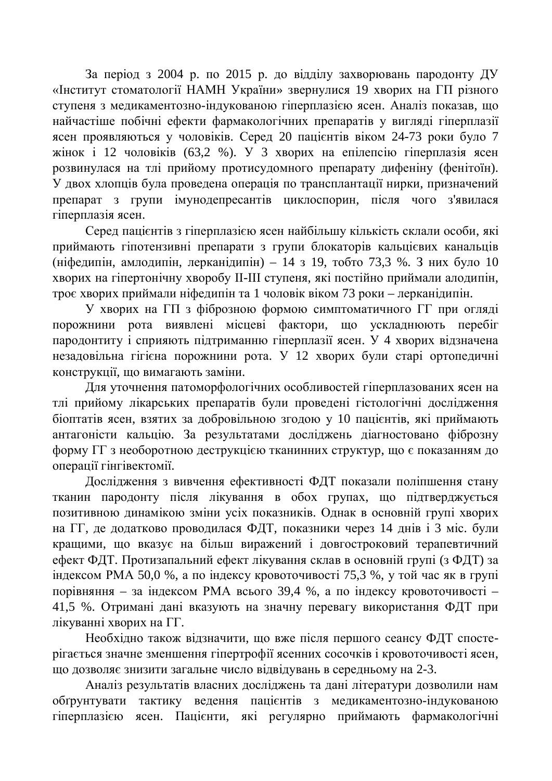За період з 2004 р. по 2015 р. до відділу захворювань пародонту ДУ «Інститут стоматології НАМН України» звернулися 19 хворих на ГП різного ступеня з медикаментозно-індукованою гіперплазією ясен. Аналіз показав, що найчастіше побічні ефекти фармакологічних препаратів у вигляді гіперплазії ясен проявляються у чоловіків. Серед 20 пацієнтів віком 24-73 роки було 7 жінок і 12 чоловіків (63,2 %). У 3 хворих на епілепсію гіперплазія ясен розвинулася на тлі прийому протисудомного препарату дифеніну (фенітоїн). У двох хлопців була проведена операція по трансплантації нирки, призначений препарат з групи імунодепресантів циклоспорин, після чого з'явилася гіперплазія ясен.

Серед пацієнтів з гіперплазією ясен найбільшу кількість склали особи, які приймають гіпотензивні препарати з групи блокаторів кальцієвих канальців (ніфедипін, амлодипін, лерканідипін) – 14 з 19, тобто 73,3 %. З них було 10 хворих на гіпертонічну хворобу II-III ступеня, які постійно приймали алодипін, троє хворих приймали ніфедипін та 1 чоловік віком 73 роки – лерканідипін.

У хворих на ГП з фіброзною формою симптоматичного ГГ при огляді порожнини рота виявлені місцеві фактори, що ускладнюють перебіг пародонтиту і сприяють підтриманню гіперплазії ясен. У 4 хворих відзначена незадовільна гігієна порожнини рота. У 12 хворих були старі ортопедичні конструкції, що вимагають заміни.

Для уточнення патоморфологічних особливостей гіперплазованих ясен на тлі прийому лікарських препаратів були проведені гістологічні дослідження біоптатів ясен, взятих за добровільною згодою у 10 пацієнтів, які приймають антагоністи кальцію. За результатами досліджень діагностовано фіброзну форму ГГ з необоротною деструкцією тканинних структур, що є показанням до операції гінгівектомії.

Дослідження з вивчення ефективності ФДТ показали поліпшення стану тканин пародонту після лікування в обох групах, що підтверджується позитивною динамікою зміни усіх показників. Однак в основній групі хворих на ГГ, де додатково проводилася ФДТ, показники через 14 днів і 3 міс. були кращими, що вказує на більш виражений і довгостроковий терапевтичний ефект ФДТ. Протизапальний ефект лікування склав в основній групі (з ФДТ) за індексом РМА 50,0 %, а по індексу кровоточивості 75,3 %, у той час як в групі порівняння – за індексом РМА всього 39,4 %, а по індексу кровоточивості – 41,5 %. Отримані дані вказують на значну перевагу використання ФДТ при лікуванні хворих на ГГ.

Необхідно також відзначити, що вже після першого сеансу ФДТ спостеpiraється значне зменшення гiпертрофiї ясенних сосочків і кровоточивості ясен, що дозволяє знизити загальне число відвідувань в середньому на 2-3.

Аналіз результатів власних досліджень та дані літератури дозволили нам обґрунтувати тактику ведення пацієнтів з медикаментозно-індукованою гіперплазією ясен. Пацієнти, які регулярно приймають фармакологічні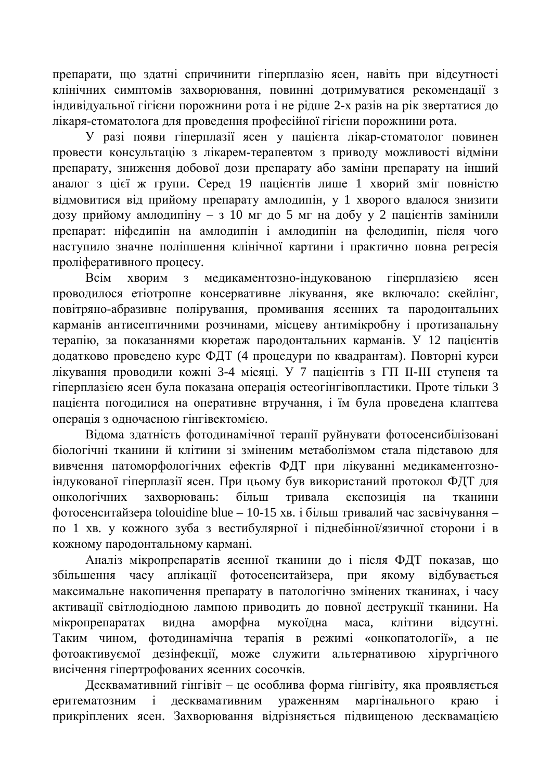препарати, що здатні спричинити гіперплазію ясен, навіть при відсутності клінічних симптомів захворювання, повинні дотримуватися рекомендації з індивідуальної гігієни порожнини рота і не рідше 2-х разів на рік звертатися до лікаря-стоматолога для проведення професійної гігієни порожнини рота.

У разі появи гіперплазії ясен у пацієнта лікар-стоматолог повинен провести консультацію з лікарем-терапевтом з приводу можливості відміни препарату, зниження добової дози препарату або заміни препарату на інший аналог з цієї ж групи. Серед 19 пацієнтів лише 1 хворий зміг повністю відмовитися від прийому препарату амлодипін, у 1 хворого вдалося знизити дозу прийому амлодипіну – з 10 мг до 5 мг на добу у 2 пацієнтів замінили препарат: ніфедипін на амлодипін і амлодипін на фелодипін, після чого наступило значне поліпшення клінічної картини і практично повна регресія проліферативного процесу.

Всім хворим з медикаментозно-індукованою гіперплазією ясен проводилося етіотропне консервативне лікування, яке включало: скейлінг, повітряно-абразивне полірування, промивання ясенних та пародонтальних карманів антисептичними розчинами, місцеву антимікробну і протизапальну терапію, за показаннями кюретаж пародонтальних карманів. У 12 пацієнтів додатково проведено курс ФДТ (4 процедури по квадрантам). Повторні курси лікування проводили кожні 3-4 місяці. У 7 пацієнтів з ГП II-III ступеня та гіперплазією ясен була показана операція остеогінгівопластики. Проте тільки 3 пацієнта погодилися на оперативне втручання, і їм була проведена клаптева операція з одночасною гінгівектомією.

Відома здатність фотодинамічної терапії руйнувати фотосенсибілізовані біологічні тканини й клітини зі зміненим метаболізмом стала підставою для вивчення патоморфологічних ефектів ФДТ при лікуванні медикаментозноіндукованої гіперплазії ясен. При цьому був використаний протокол ФДТ для онкологічних захворювань: більш тривала експозиція на тканини фотосенситайзера tolouidine blue – 10-15 хв. і більш тривалий час засвічування – по 1 хв. у кожного зуба з вестибулярної і піднебінної/язичної сторони і в кожному пародонтальному кармані.

Аналіз мікропрепаратів ясенної тканини до і після ФДТ показав, що збільшення часу аплікації фотосенситайзера, при якому відбувається максимальне накопичення препарату в патологічно змінених тканинах, і часу активації світлодіодною лампою приводить до повної деструкції тканини. На мікропрепаратах видна аморфна мукоїдна маса, клітини відсутні. Таким чином, фотодинамічна терапія в режимі «онкопатології», а не фотоактивуємої дезінфекції, може служити альтернативою хірургічного висічення гіпертрофованих ясенних сосочків.

Десквамативний гінгівіт – це особлива форма гінгівіту, яка проявляється еритематозним і десквамативним ураженням маргінального краю прикріплених ясен. Захворювання відрізняється підвищеною десквамацією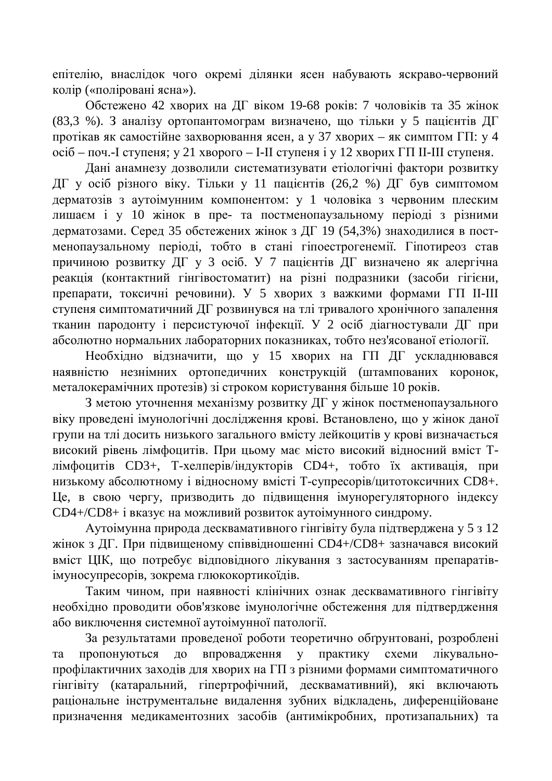епітелію, внаслідок чого окремі ділянки ясен набувають яскраво-червоний колір («поліровані ясна»).

Обстежено 42 хворих на ДГ віком 19-68 років: 7 чоловіків та 35 жінок (83,3 %). З аналізу ортопантомограм визначено, що тільки у 5 пацієнтів ДГ протікав як самостійне захворювання ясен, а у 37 хворих – як симптом ГП: у 4  $oci\bar{\sigma}$  – поч.-I ступеня; у 21 хворого – I-II ступеня і у 12 хворих ГП II-III ступеня.

Дані анамнезу дозволили систематизувати етіологічні фактори розвитку ДГ у осіб різного віку. Тільки у 11 пацієнтів (26,2 %) ДГ був симптомом дерматозів з аутоімунним компонентом: у 1 чоловіка з червоним плеским лишаєм і у 10 жінок в пре- та постменопаузальному періоді з різними дерматозами. Серед 35 обстежених жінок з ДГ 19 (54,3%) знаходилися в постменопаузальному періоді, тобто в стані гіпоестрогенемії. Гіпотиреоз став причиною розвитку ДГ у 3 осіб. У 7 пацієнтів ДГ визначено як алергічна реакція (контактний гінгівостоматит) на різні подразники (засоби гігієни, препарати, токсичні речовини). У 5 хворих з важкими формами ГП II-III ступеня симптоматичний ДГ розвинувся на тлі тривалого хронічного запалення тканин пародонту і персистуючої інфекції. У 2 осіб діагностували ДГ при абсолютно нормальних лабораторних показниках, тобто нез'ясованої етіології.

Необхідно відзначити, що у 15 хворих на ГП ДГ ускладнювався наявністю незнімних ортопедичних конструкцій (штампованих коронок, металокерамічних протезів) зі строком користування більше 10 років.

З метою уточнення механізму розвитку ДГ у жінок постменопаузального віку проведені імунологічні дослідження крові. Встановлено, що у жінок даної групи на тлі досить низького загального вмісту лейкоцитів у крові визначається високий рівень лімфоцитів. При цьому має місто високий відносний вміст Тлімфоцитів CD3+, Т-хелперів/індукторів CD4+, тобто їх активація, при низькому абсолютному і відносному вмісті Т-супресорів/цитотоксичних CD8+. Це, в свою чергу, призводить до підвищення імунорегуляторного індексу CD4+/CD8+ і вказує на можливий розвиток аутоімунного синдрому.

Аутоімунна природа десквамативного гінгівіту була підтверджена у 5 з 12 жінок з ДГ. При підвищеному співвідношенні CD4+/CD8+ зазначався високий вміст ЦІК, що потребує відповідного лікування з застосуванням препаратівімуносупресорів, зокрема глюкокортикоїдів.

Таким чином, при наявності клінічних ознак десквамативного гінгівіту необхідно проводити обов'язкове імунологічне обстеження для підтвердження або виключення системної аутоімунної патології.

За результатами проведеної роботи теоретично обґрунтовані, розроблені та пропонуються до впровадження у практику схеми лікувальнопрофілактичних заходів для хворих на ГП з різними формами симптоматичного гінгівіту (катаральний, гіпертрофічний, десквамативний), які включають раціональне інструментальне видалення зубних відкладень, диференційоване призначення медикаментозних засобів (антимікробних, протизапальних) та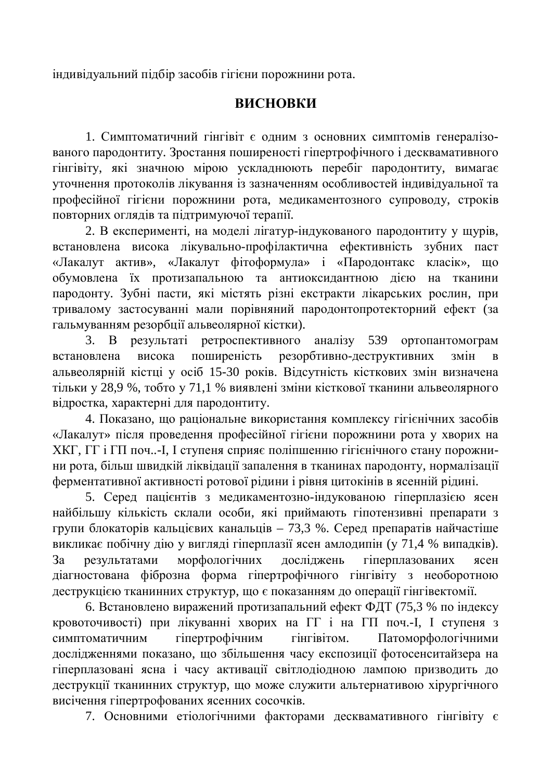індивідуальний підбір засобів гігієни порожнини рота.

### **ВИСНОВКИ**

1. Симптоматичний гінгівіт є одним з основних симптомів генералізованого пародонтиту. Зростання поширеності гіпертрофічного і десквамативного гінгівіту, які значною мірою ускладнюють перебіг пародонтиту, вимагає уточнення протоколів лікування із зазначенням особливостей індивідуальної та професійної гігієни порожнини рота, медикаментозного супроводу, строків повторних оглядів та підтримуючої терапії.

2. В експерименті, на моделі лігатур-індукованого пародонтиту у щурів, встановлена висока лікувально-профілактична ефективність зубних паст «Лакалут актив», «Лакалут фітоформула» і «Пародонтакс класік», що обумовлена їх протизапальною та антиоксидантною дією на тканини пародонту. Зубні пасти, які містять різні екстракти лікарських рослин, при тривалому застосуванні мали порівняний пародонтопротекторний ефект (за гальмуванням резорбції альвеолярної кістки).

3. В результаті ретроспективного аналізу 539 ортопантомограм встановлена висока поширеність резорбтивно-деструктивних змін в альвеолярній кістці у осіб 15-30 років. Відсутність кісткових змін визначена тільки у 28,9 %, тобто у 71,1 % виявлені зміни кісткової тканини альвеолярного відростка, характерні для пародонтиту.

4. Показано, що раціональне використання комплексу гігієнічних засобів «Лакалут» після проведення професійної гігієни порожнини рота у хворих на ХКГ, ГГ і ГП поч..-I, I ступеня сприяє поліпшенню гігієнічного стану порожнини рота, більш швидкій ліквідації запалення в тканинах пародонту, нормалізації ферментативної активності ротової рідини і рівня цитокінів в ясенній рідині.

5. Серед пацієнтів з медикаментозно-індукованою гіперплазією ясен найбільшу кількість склали особи, які приймають гіпотензивні препарати з групи блокаторів кальцієвих канальців – 73,3 %. Серед препаратів найчастіше викликає побічну дію у вигляді гіперплазії ясен амлодипін (у 71,4 % випадків). За результатами морфологічних досліджень гіперплазованих ясен діагностована фіброзна форма гіпертрофічного гінгівіту з необоротною деструкцією тканинних структур, що є показанням до операції гінгівектомії.

6. Встановлено виражений протизапальний ефект ФДТ (75,3 % по індексу кровоточивості) при лікуванні хворих на ГГ і на ГП поч.-I, I ступеня з симптоматичним гіпертрофічним гінгівітом. Патоморфологічними дослідженнями показано, що збільшення часу експозиції фотосенситайзера на гіперплазовані ясна і часу активації світлодіодною лампою призводить до деструкції тканинних структур, що може служити альтернативою хірургічного висічення гіпертрофованих ясенних сосочків.

7. Основними етіологічними факторами десквамативного гінгівіту є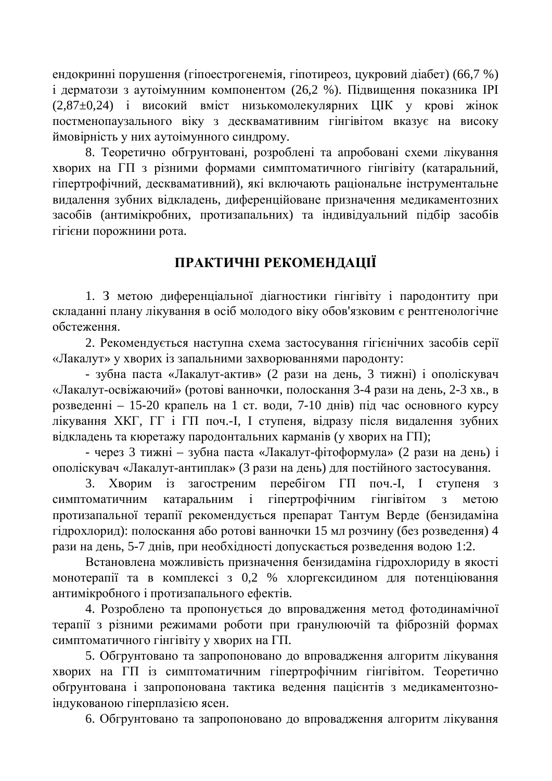ендокринні порушення (гіпоестрогенемія, гіпотиреоз, цукровий діабет) (66,7 %)  $i$  дерматози з аутоімунним компонентом (26,2 %). Підвищення показника ІРІ  $(2,87±0,24)$  і високий вміст низькомолекулярних ЦІК у крові жінок постменопаузального віку з десквамативним гінгівітом вказує на високу ймовірність у них аутоімунного синдрому.

8. Теоретично обгрунтовані, розроблені та апробовані схеми лікування хворих на ГП з різними формами симптоматичного гінгівіту (катаральний, гіпертрофічний, десквамативний), які включають раціональне інструментальне видалення зубних відкладень, диференційоване призначення медикаментозних засобів (антимікробних, протизапальних) та індивідуальний підбір засобів гігієни порожнини рота.

## ПРАКТИЧНІ РЕКОМЕНДАЦІЇ

1. З метою диференціальної діагностики гінгівіту і пародонтиту при складанні плану лікування в осіб молодого віку обов'язковим є рентгенологічне обстеження.

2. Рекомендується наступна схема застосування гігієнічних засобів серії «Лакалут» у хворих із запальними захворюваннями пародонту:

- зубна паста «Лакалут-актив» (2 рази на день, 3 тижні) і ополіскувач «Лакалут-освіжаючий» (ротові ванночки, полоскання 3-4 рази на день, 2-3 хв., в розведенні – 15-20 крапель на 1 ст. води, 7-10 днів) під час основного курсу лікування ХКГ, ГГ і ГП поч.-І, І ступеня, відразу після видалення зубних відкладень та кюретажу пародонтальних карманів (у хворих на ГП);

- через 3 тижні – зубна паста «Лакалут-фітоформула» (2 рази на день) і ополіскувач «Лакалут-антиплак» (3 рази на день) для постійного застосування.

3. Хворим із загостреним перебігом ГП поч.-I, I ступеня з симптоматичним катаральним і гіпертрофічним гінгівітом з метою протизапальної терапії рекомендується препарат Тантум Верде (бензидаміна гідрохлорид): полоскання або ротові ванночки 15 мл розчину (без розведення) 4 рази на день, 5-7 днів, при необхідності допускається розведення водою 1:2.

Встановлена можливість призначення бензидаміна гідрохлориду в якості монотерапії та в комплексі з 0,2 % хлоргексидином для потенціювання антимікробного і протизапального ефектів.

4. Розроблено та пропонується до впровадження метод фотодинамічної терапії з різними режимами роботи при гранулюючій та фіброзній формах симптоматичного гінгівіту у хворих на ГП.

5. Обгрунтовано та запропоновано до впровадження алгоритм лікування хворих на ГП із симптоматичним гіпертрофічним гінгівітом. Теоретично обґрунтована і запропонована тактика ведення пацієнтів з медикаментозноіндукованою гіперплазією ясен.

6. Обгрунтовано та запропоновано до впровадження алгоритм лікування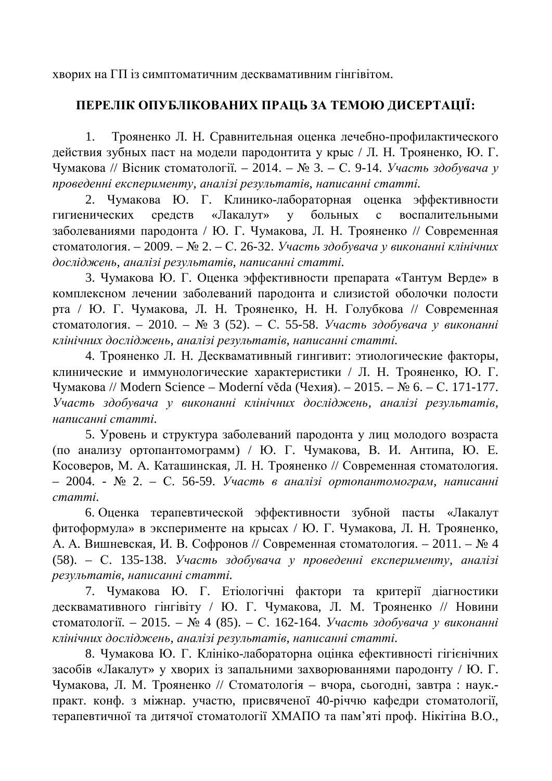хворих на ГП із симптоматичним десквамативним гінгівітом.

### ПЕРЕЛІК ОПУБЛІКОВАНИХ ПРАЦЬ ЗА ТЕМОЮ ДИСЕРТАЦІЇ:

1. Трояненко Л. Н. Сравнительная оценка лечебно-профилактического действия зубных паст на модели пародонтита у крыс / Л. Н. Трояненко, Ю. Г. Чумакова // Вісник стоматології. – 2014. – № 3. – С. 9-14. Участь здобувача у проведенні експерименту, аналізі результатів, написанні статті.

2. Чумакова Ю. Г. Клинико-лабораторная оценка эффективности гигиенических средств «Лакалут» у больных с воспалительными заболеваниями пародонта / Ю. Г. Чумакова, Л. Н. Трояненко // Современная стоматология. – 2009. – № 2. – С. 26-32. Участь здобувача у виконанні клінічних  $\partial$ осліджень, аналізі результатів, написанні статті.

3. Чумакова Ю. Г. Оценка эффективности препарата «Тантум Верде» в комплексном лечении заболеваний пародонта и слизистой оболочки полости рта / Ю. Г. Чумакова, Л. Н. Трояненко, Н. Н. Голубкова // Современная стоматология. – 2010. – № 3 (52). – С. 55-58. Участь здобувача у виконанні клінічних досліджень, аналізі результатів, написанні статті.

4. Трояненко Л. Н. Десквамативный гингивит: этиологические факторы, клинические и иммунологические характеристики / Л. Н. Трояненко, Ю. Г. Чумакова // Modern Science – Moderní věda (Чехия). – 2015. – № 6. – С. 171-177. *ɍɱɚɫɬɶ ɡɞɨɛɭɜɚɱɚ ɭ ɜɢɤɨɧɚɧɧɿ ɤɥɿɧɿɱɧɢɯ ɞɨɫɥɿɞɠɟɧɶ, ɚɧɚɥɿɡɿ ɪɟɡɭɥɶɬɚɬɿɜ, ɧɚɩɢɫɚɧɧɿɫɬɚɬɬɿ.*

5. Уровень и структура заболеваний пародонта у лиц молодого возраста (по анализу ортопантомограмм) / Ю. Г. Чумакова, В. И. Антипа, Ю. Е. Косоверов, М. А. Каташинская, Л. Н. Трояненко // Современная стоматология.  $-2004.$  - № 2. – С. 56-59. Участь в аналізі ортопантомограм, написанні  $c$ *mammi*.

6. Оценка терапевтической эффективности зубной пасты «Лакалут фитоформула» в эксперименте на крысах / Ю. Г. Чумакова, Л. Н. Трояненко, А. А. Вишневская, И. В. Софронов // Современная стоматология. – 2011. – № 4 (58). – ɋ. 135-138. *ɍɱɚɫɬɶ ɡɞɨɛɭɜɚɱɚ ɭ ɩɪɨɜɟɞɟɧɧɿ ɟɤɫɩɟɪɢɦɟɧɬɭ, ɚɧɚɥɿɡɿ*  $pesv<sub>I</sub> b<sub>EM</sub> ami<sub>6</sub>, \n *Hanucahhi* \n *c ma mm i*.$ 

7. Чумакова Ю. Г. Етіологічні фактори та критерії діагностики десквамативного гінгівіту / Ю. Г. Чумакова, Л. М. Трояненко // Новини стоматології. – 2015. – № 4 (85). – С. 162-164. Участь здобувача у виконанні клінічних досліджень, аналізі результатів, написанні статті.

8. Чумакова Ю. Г. Клініко-лабораторна оцінка ефективності гігієнічних засобів «Лакалут» у хворих із запальними захворюваннями пародонту / Ю. Г. Чумакова, Л. М. Трояненко // Стоматологія – вчора, сьогодні, завтра: наук.практ. конф. з міжнар. участю, присвяченої 40-річчю кафедри стоматології, терапевтичної та дитячої стоматології ХМАПО та пам'яті проф. Нікітіна В.О.,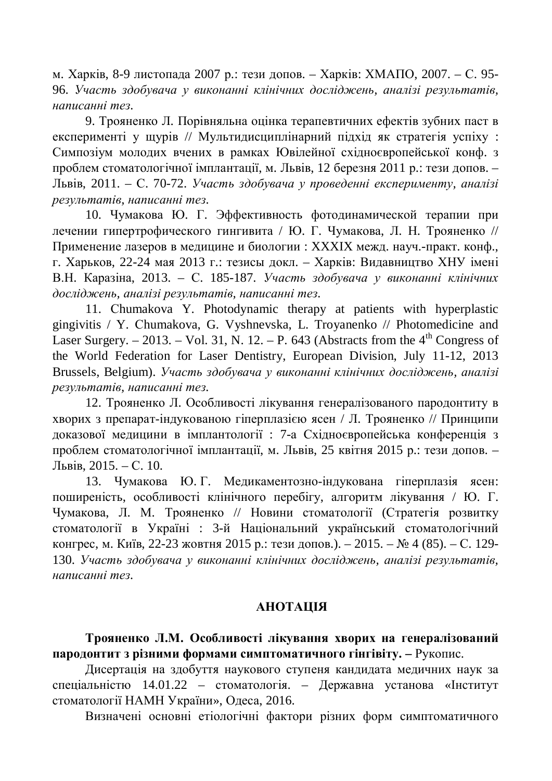м. Харків, 8-9 листопада 2007 р.: тези допов. – Харків: ХМАПО, 2007. – С. 95-96. Участь здобувача у виконанні клінічних досліджень, аналізі результатів, *ɧɚɩɢɫɚɧɧɿɬɟɡ.*

9. Трояненко Л. Порівняльна оцінка терапевтичних ефектів зубних паст в експерименті у щурів // Мультидисциплінарний підхід як стратегія успіху : Симпозіум молодих вчених в рамках Ювілейної східноєвропейської конф. з проблем стоматологічної імплантації, м. Львів, 12 березня 2011 р.: тези допов. – Ʌɶɜɿɜ, 2011. – ɋ. 70-72.*ɍɱɚɫɬɶ ɡɞɨɛɭɜɚɱɚ ɭ ɩɪɨɜɟɞɟɧɧɿ ɟɤɫɩɟɪɢɦɟɧɬɭ, ɚɧɚɥɿɡɿ*  $pe$ зультатів, написанні тез.

10. Чумакова Ю. Г. Эффективность фотодинамической терапии при лечении гипертрофического гингивита / Ю. Г. Чумакова, Л. Н. Трояненко // Применение лазеров в медицине и биологии : XXXIX межд. науч.-практ. конф., г. Харьков, 22-24 мая 2013 г.: тезисы докл. – Харків: Видавництво ХНУ імені В.Н. Каразіна, 2013. – С. 185-187. Участь здобувача у виконанні клінічних  $\partial$ осліджень, аналізі результатів, написанні тез.

11. Chumakova Y. Photodynamic therapy at patients with hyperplastic gingivitis / Y. ɋhumakova, G. Vyshnevska, L. Troyanenko // Photomedicine and Laser Surgery. – 2013. – Vol. 31, N. 12. – P. 643 (Abstracts from the  $4<sup>th</sup>$  Congress of the World Federation for Laser Dentistry, European Division, July 11-12, 2013 Brussels, Belgium). *Участь здобувача у виконанні клінічних досліджень, аналізі*  $pesynotamie,  *hanucahhi mes.*$ 

12. Трояненко Л. Особливості лікування генералізованого пародонтиту в хворих з препарат-індукованою гіперплазією ясен / Л. Трояненко // Принципи доказової медицини в імплантології: 7-а Східноєвропейська конференція з проблем стоматологічної імплантації, м. Львів, 25 квітня 2015 р.: тези допов. -Львів, 2015. – С. 10.

13. Чумакова Ю. Г. Медикаментозно-індукована гіперплазія ясен: поширеність, особливості клінічного перебігу, алгоритм лікування / Ю. Г. Чумакова, Л. М. Трояненко // Новини стоматології (Стратегія розвитку стоматології в Україні : 3-й Національний український стоматологічний конгрес, м. Київ, 22-23 жовтня 2015 р.: тези допов.). – 2015. – № 4 (85). – С. 129-130. Участь здобувача у виконанні клінічних досліджень, аналізі результатів, *ɧɚɩɢɫɚɧɧɿɬɟɡ.*

#### **RIµATOHA**

Трояненко Л.М. Особливості лікування хворих на генералізований пародонтит з різними формами симптоматичного гінгівіту. – Рукопис.

Дисертація на здобуття наукового ступеня кандидата медичних наук за спеціальністю 14.01.22 – стоматологія. – Державна установа «Інститут стоматології НАМН України», Одеса, 2016.

Визначені основні етіологічні фактори різних форм симптоматичного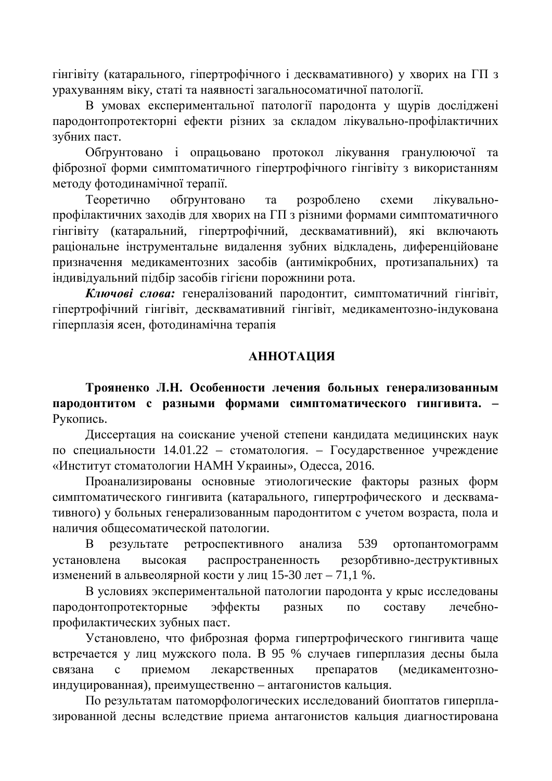гінгівіту (катарального, гіпертрофічного і десквамативного) у хворих на ГП з vрахуванням віку, статі та наявності загальносоматичної патології.

В умовах експериментальної патології пародонта у щурів досліджені пародонтопротекторні ефекти різних за складом лікувально-профілактичних зубних паст.

Обґрунтовано і опрацьовано протокол лікування гранулюючої та фіброзної форми симптоматичного гіпертрофічного гінгівіту з використанням методу фотодинамічної терапії.

Теоретично обґрунтовано та розроблено схеми лікувальнопрофілактичних заходів для хворих на ГП з різними формами симптоматичного гінгівіту (катаральний, гіпертрофічний, десквамативний), які включають раціональне інструментальне видалення зубних відкладень, диференційоване призначення медикаментозних засобів (антимікробних, протизапальних) та індивідуальний підбір засобів гігієни порожнини рота.

Ключові слова: генералізований пародонтит, симптоматичний гінгівіт, гіпертрофічний гінгівіт, десквамативний гінгівіт, медикаментозно-індукована гіперплазія ясен, фотодинамічна терапія

#### **АННОТАЦИЯ**

Трояненко Л.Н. Особенности лечения больных генерализованным Пародонтитом с разными формами симптоматического гингивита. -Рукопись.

Диссертация на соискание ученой степени кандидата медицинских наук по специальности  $14.01.22$  – стоматология. – Государственное учреждение «Институт стоматологии НАМН Украины», Одесса, 2016.

Проанализированы основные этиологические факторы разных форм симптоматического гингивита (катарального, гипертрофического и десквамативного) у больных генерализованным пародонтитом с учетом возраста, пола и наличия общесоматической патологии.

В результате ретроспективного анализа 539 ортопантомограмм установлена высокая распространенность резорбтивно-деструктивных изменений в альвеолярной кости у лиц 15-30 лет – 71,1 %.

В условиях экспериментальной патологии пародонта у крыс исследованы пародонтопротекторные эффекты разных по составу лечебнопрофилактических зубных паст.

Установлено, что фиброзная форма гипертрофического гингивита чаще встречается у лиц мужского пола. В 95 % случаев гиперплазия десны была связана с приемом лекарственных препаратов (медикаментозноиндуцированная), преимущественно – антагонистов кальция.

По результатам патоморфологических исследований биоптатов гиперплазированной десны вследствие приема антагонистов кальция диагностирована